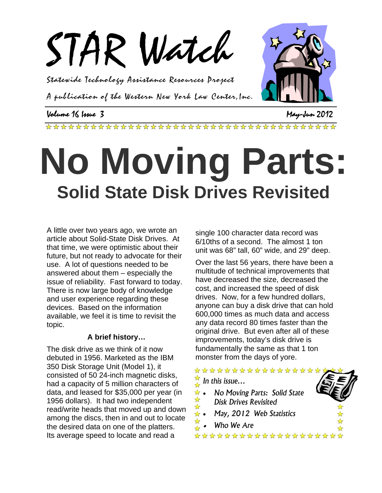

Statewide Technology Assistance Resources Project

A publication of the Western New York Law Center,Inc.

### Volume 16 Issue 3 May-Jun 2012

# **No Moving Parts: Solid State Disk Drives Revisited**

A little over two years ago, we wrote an article about Solid-State Disk Drives. At that time, we were optimistic about their future, but not ready to advocate for their use. A lot of questions needed to be answered about them – especially the issue of reliability. Fast forward to today. There is now large body of knowledge and user experience regarding these devices. Based on the information available, we feel it is time to revisit the topic.

#### **A brief history…**

The disk drive as we think of it now debuted in 1956. Marketed as the IBM 350 Disk Storage Unit (Model 1), it consisted of 50 24-inch magnetic disks, had a capacity of 5 million characters of data, and leased for \$35,000 per year (in 1956 dollars). It had two independent read/write heads that moved up and down among the discs, then in and out to locate the desired data on one of the platters. Its average speed to locate and read a

single 100 character data record was 6/10ths of a second. The almost 1 ton unit was 68" tall, 60" wide, and 29" deep.

Over the last 56 years, there have been a multitude of technical improvements that have decreased the size, decreased the cost, and increased the speed of disk drives. Now, for a few hundred dollars, anyone can buy a disk drive that can hold 600,000 times as much data and access any data record 80 times faster than the original drive. But even after all of these improvements, today's disk drive is fundamentally the same as that 1 ton monster from the days of yore.

#### \*\*\*\*\*\*\*\*\*\*\*\*\*\*\*\*\*

*In this issue…* 

- **•** *No Moving Parts:* **Solid State** *Disk Drives Revisited Disk Drives Revisited*
- *May, 2012 Web Statistics* 
	- *Who We Are*

\*\*\*\*\*\*\*\*\*\*\*\*\*\*\*\*\*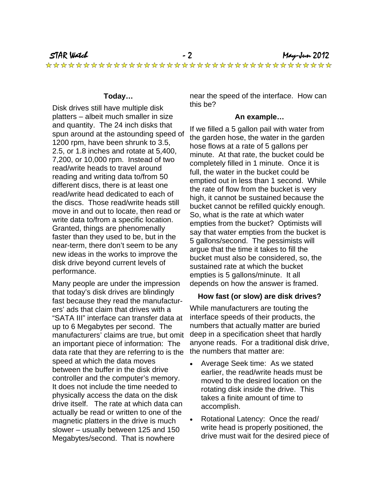#### **Today…**

Disk drives still have multiple disk platters – albeit much smaller in size and quantity. The 24 inch disks that spun around at the astounding speed of 1200 rpm, have been shrunk to 3.5, 2.5, or 1.8 inches and rotate at 5,400, 7,200, or 10,000 rpm. Instead of two read/write heads to travel around reading and writing data to/from 50 different discs, there is at least one read/write head dedicated to each of the discs. Those read/write heads still move in and out to locate, then read or write data to/from a specific location. Granted, things are phenomenally faster than they used to be, but in the near-term, there don't seem to be any new ideas in the works to improve the disk drive beyond current levels of performance.

Many people are under the impression that today's disk drives are blindingly fast because they read the manufacturers' ads that claim that drives with a "SATA III" interface can transfer data at up to 6 Megabytes per second. The manufacturers' claims are true, but omit an important piece of information: The data rate that they are referring to is the speed at which the data moves between the buffer in the disk drive controller and the computer's memory. It does not include the time needed to physically access the data on the disk drive itself. The rate at which data can actually be read or written to one of the magnetic platters in the drive is much slower – usually between 125 and 150 Megabytes/second. That is nowhere

near the speed of the interface. How can this be?

#### **An example…**

If we filled a 5 gallon pail with water from the garden hose, the water in the garden hose flows at a rate of 5 gallons per minute. At that rate, the bucket could be completely filled in 1 minute. Once it is full, the water in the bucket could be emptied out in less than 1 second. While the rate of flow from the bucket is very high, it cannot be sustained because the bucket cannot be refilled quickly enough. So, what is the rate at which water empties from the bucket? Optimists will say that water empties from the bucket is 5 gallons/second. The pessimists will argue that the time it takes to fill the bucket must also be considered, so, the sustained rate at which the bucket empties is 5 gallons/minute. It all depends on how the answer is framed.

#### **How fast (or slow) are disk drives?**

While manufacturers are touting the interface speeds of their products, the numbers that actually matter are buried deep in a specification sheet that hardly anyone reads. For a traditional disk drive, the numbers that matter are:

- Average Seek time: As we stated earlier, the read/write heads must be moved to the desired location on the rotating disk inside the drive. This takes a finite amount of time to accomplish.
- Rotational Latency: Once the read/ write head is properly positioned, the drive must wait for the desired piece of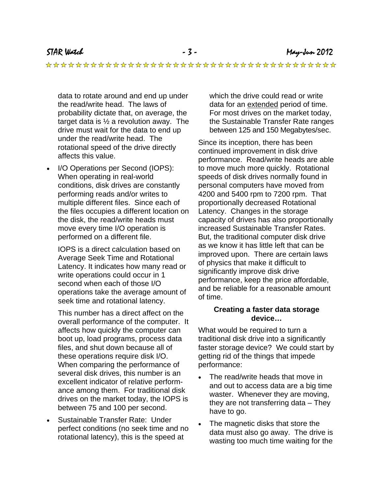data to rotate around and end up under the read/write head. The laws of probability dictate that, on average, the target data is ½ a revolution away. The drive must wait for the data to end up under the read/write head. The rotational speed of the drive directly affects this value.

• I/O Operations per Second (IOPS): When operating in real-world conditions, disk drives are constantly performing reads and/or writes to multiple different files. Since each of the files occupies a different location on the disk, the read/write heads must move every time I/O operation is performed on a different file.

IOPS is a direct calculation based on Average Seek Time and Rotational Latency. It indicates how many read or write operations could occur in 1 second when each of those I/O operations take the average amount of seek time and rotational latency.

This number has a direct affect on the overall performance of the computer. It affects how quickly the computer can boot up, load programs, process data files, and shut down because all of these operations require disk I/O. When comparing the performance of several disk drives, this number is an excellent indicator of relative performance among them. For traditional disk drives on the market today, the IOPS is between 75 and 100 per second.

• Sustainable Transfer Rate: Under perfect conditions (no seek time and no rotational latency), this is the speed at

which the drive could read or write data for an extended period of time. For most drives on the market today, the Sustainable Transfer Rate ranges between 125 and 150 Megabytes/sec.

Since its inception, there has been continued improvement in disk drive performance. Read/write heads are able to move much more quickly. Rotational speeds of disk drives normally found in personal computers have moved from 4200 and 5400 rpm to 7200 rpm. That proportionally decreased Rotational Latency. Changes in the storage capacity of drives has also proportionally increased Sustainable Transfer Rates. But, the traditional computer disk drive as we know it has little left that can be improved upon. There are certain laws of physics that make it difficult to significantly improve disk drive performance, keep the price affordable, and be reliable for a reasonable amount of time.

#### **Creating a faster data storage device…**

What would be required to turn a traditional disk drive into a significantly faster storage device? We could start by getting rid of the things that impede performance:

- The read/write heads that move in and out to access data are a big time waster. Whenever they are moving, they are not transferring data – They have to go.
- The magnetic disks that store the data must also go away. The drive is wasting too much time waiting for the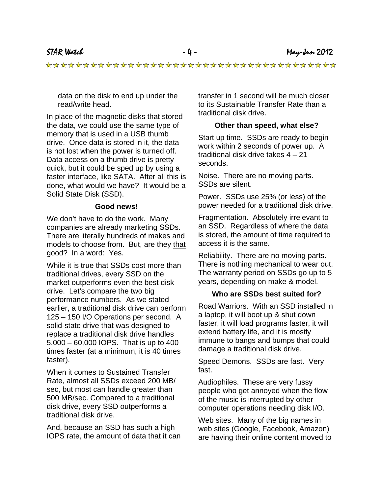data on the disk to end up under the read/write head.

In place of the magnetic disks that stored the data, we could use the same type of memory that is used in a USB thumb drive. Once data is stored in it, the data is not lost when the power is turned off. Data access on a thumb drive is pretty quick, but it could be sped up by using a faster interface, like SATA. After all this is done, what would we have? It would be a Solid State Disk (SSD).

#### **Good news!**

We don't have to do the work. Many companies are already marketing SSDs. There are literally hundreds of makes and models to choose from. But, are they that good? In a word: Yes.

While it is true that SSDs cost more than traditional drives, every SSD on the market outperforms even the best disk drive. Let's compare the two big performance numbers. As we stated earlier, a traditional disk drive can perform 125 – 150 I/O Operations per second. A solid-state drive that was designed to replace a traditional disk drive handles 5,000 – 60,000 IOPS. That is up to 400 times faster (at a minimum, it is 40 times faster).

When it comes to Sustained Transfer Rate, almost all SSDs exceed 200 MB/ sec, but most can handle greater than 500 MB/sec. Compared to a traditional disk drive, every SSD outperforms a traditional disk drive.

And, because an SSD has such a high IOPS rate, the amount of data that it can transfer in 1 second will be much closer to its Sustainable Transfer Rate than a traditional disk drive.

#### **Other than speed, what else?**

Start up time. SSDs are ready to begin work within 2 seconds of power up. A traditional disk drive takes 4 – 21 seconds.

Noise. There are no moving parts. SSDs are silent.

Power. SSDs use 25% (or less) of the power needed for a traditional disk drive.

Fragmentation. Absolutely irrelevant to an SSD. Regardless of where the data is stored, the amount of time required to access it is the same.

Reliability. There are no moving parts. There is nothing mechanical to wear out. The warranty period on SSDs go up to 5 years, depending on make & model.

#### **Who are SSDs best suited for?**

Road Warriors. With an SSD installed in a laptop, it will boot up & shut down faster, it will load programs faster, it will extend battery life, and it is mostly immune to bangs and bumps that could damage a traditional disk drive.

Speed Demons. SSDs are fast. Very fast.

Audiophiles. These are very fussy people who get annoyed when the flow of the music is interrupted by other computer operations needing disk I/O.

Web sites. Many of the big names in web sites (Google, Facebook, Amazon) are having their online content moved to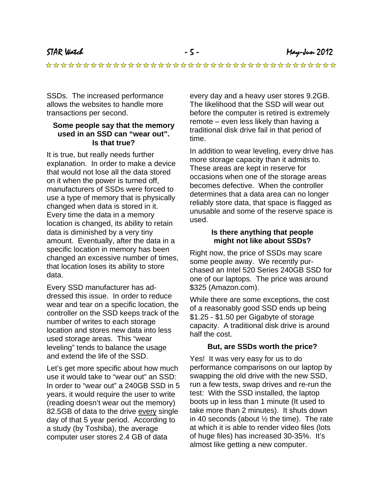STAR Watch - 5 - May-Jun 2012

SSDs. The increased performance allows the websites to handle more transactions per second.

#### **Some people say that the memory used in an SSD can "wear out". Is that true?**

It is true, but really needs further explanation. In order to make a device that would not lose all the data stored on it when the power is turned off, manufacturers of SSDs were forced to use a type of memory that is physically changed when data is stored in it. Every time the data in a memory location is changed, its ability to retain data is diminished by a very tiny amount. Eventually, after the data in a specific location in memory has been changed an excessive number of times, that location loses its ability to store data.

Every SSD manufacturer has addressed this issue. In order to reduce wear and tear on a specific location, the controller on the SSD keeps track of the number of writes to each storage location and stores new data into less used storage areas. This "wear leveling" tends to balance the usage and extend the life of the SSD.

Let's get more specific about how much use it would take to "wear out" an SSD: In order to "wear out" a 240GB SSD in 5 years, it would require the user to write (reading doesn't wear out the memory) 82.5GB of data to the drive every single day of that 5 year period. According to a study (by Toshiba), the average computer user stores 2.4 GB of data

every day and a heavy user stores 9.2GB. The likelihood that the SSD will wear out before the computer is retired is extremely remote – even less likely than having a traditional disk drive fail in that period of time.

In addition to wear leveling, every drive has more storage capacity than it admits to. These areas are kept in reserve for occasions when one of the storage areas becomes defective. When the controller determines that a data area can no longer reliably store data, that space is flagged as unusable and some of the reserve space is used.

#### **Is there anything that people might not like about SSDs?**

Right now, the price of SSDs may scare some people away. We recently purchased an Intel 520 Series 240GB SSD for one of our laptops. The price was around \$325 (Amazon.com).

While there are some exceptions, the cost of a reasonably good SSD ends up being \$1.25 - \$1.50 per Gigabyte of storage capacity. A traditional disk drive is around half the cost.

#### **But, are SSDs worth the price?**

Yes! It was very easy for us to do performance comparisons on our laptop by swapping the old drive with the new SSD, run a few tests, swap drives and re-run the test: With the SSD installed, the laptop boots up in less than 1 minute (It used to take more than 2 minutes). It shuts down in 40 seconds (about ½ the time). The rate at which it is able to render video files (lots of huge files) has increased 30-35%. It's almost like getting a new computer.